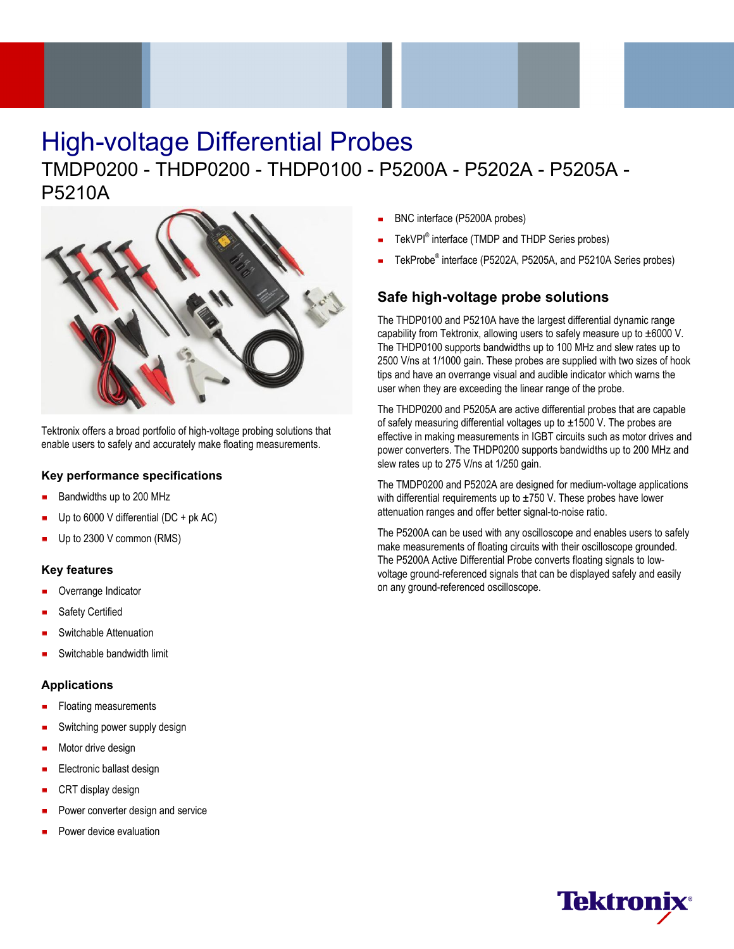# High-voltage Differential Probes

# TMDP0200 - THDP0200 - THDP0100 - P5200A - P5202A - P5205A - P5210A



Tektronix offers a broad portfolio of high-voltage probing solutions that enable users to safely and accurately make floating measurements.

### **Key performance specifications**

- Bandwidths up to 200 MHz
- Up to 6000 V differential (DC + pk AC)
- Up to 2300 V common (RMS)

### **Key features**

- Overrange Indicator
- Safety Certified
- Switchable Attenuation
- Switchable bandwidth limit

#### **Applications**

- Floating measurements
- Switching power supply design
- Motor drive design
- Electronic ballast design
- CRT display design
- Power converter design and service
- Power device evaluation
- BNC interface (P5200A probes)
- TekVPI® interface (TMDP and THDP Series probes)
- TekProbe® interface (P5202A, P5205A, and P5210A Series probes)

# **Safe high-voltage probe solutions**

The THDP0100 and P5210A have the largest differential dynamic range capability from Tektronix, allowing users to safely measure up to  $\pm 6000$  V. The THDP0100 supports bandwidths up to 100 MHz and slew rates up to 2500 V/ns at 1/1000 gain. These probes are supplied with two sizes of hook tips and have an overrange visual and audible indicator which warns the user when they are exceeding the linear range of the probe.

The THDP0200 and P5205A are active differential probes that are capable of safely measuring differential voltages up to  $\pm$ 1500 V. The probes are effective in making measurements in IGBT circuits such as motor drives and power converters. The THDP0200 supports bandwidths up to 200 MHz and slew rates up to 275 V/ns at 1/250 gain.

The TMDP0200 and P5202A are designed for medium-voltage applications with differential requirements up to  $\pm$ 750 V. These probes have lower attenuation ranges and offer better signal-to-noise ratio.

The P5200A can be used with any oscilloscope and enables users to safely make measurements of floating circuits with their oscilloscope grounded. The P5200A Active Differential Probe converts floating signals to lowvoltage ground-referenced signals that can be displayed safely and easily on any ground-referenced oscilloscope.

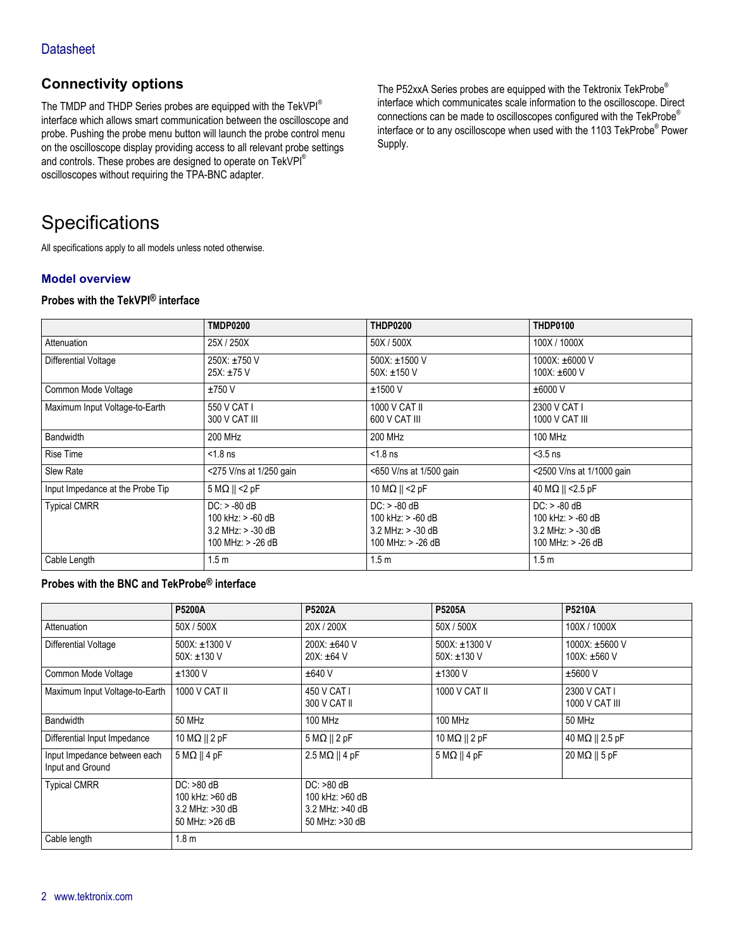# **Connectivity options**

The TMDP and THDP Series probes are equipped with the TekVPI® interface which allows smart communication between the oscilloscope and probe. Pushing the probe menu button will launch the probe control menu on the oscilloscope display providing access to all relevant probe settings and controls. These probes are designed to operate on TekVPI® oscilloscopes without requiring the TPA-BNC adapter.

The P52xxA Series probes are equipped with the Tektronix TekProbe® interface which communicates scale information to the oscilloscope. Direct connections can be made to oscilloscopes configured with the TekProbe® interface or to any oscilloscope when used with the 1103 TekProbe® Power Supply.

# **Specifications**

All specifications apply to all models unless noted otherwise.

#### **Model overview**

#### **Probes with the TekVPI® interface**

|                                  | <b>TMDP0200</b>                                                                     | <b>THDP0200</b>                                                                     | <b>THDP0100</b>                                                                     |
|----------------------------------|-------------------------------------------------------------------------------------|-------------------------------------------------------------------------------------|-------------------------------------------------------------------------------------|
| Attenuation                      | 25X / 250X                                                                          | 50X / 500X                                                                          | 100X / 1000X                                                                        |
| Differential Voltage             | $250X: \pm 750$ V<br>$25X: \pm 75V$                                                 | 500X: $\pm$ 1500 V<br>50X: $±150$ V                                                 | 1000X: $\pm 6000$ V<br>100X: ±600 V                                                 |
| Common Mode Voltage              | ±750V                                                                               | $±1500$ V                                                                           | $\pm 6000$ V                                                                        |
| Maximum Input Voltage-to-Earth   | 550 V CAT I<br>300 V CAT III                                                        | 1000 V CAT II<br>600 V CAT III                                                      | 2300 V CAT I<br>1000 V CAT III                                                      |
| <b>Bandwidth</b>                 | 200 MHz                                                                             | 200 MHz                                                                             | 100 MHz                                                                             |
| Rise Time                        | $< 1.8$ ns                                                                          | $< 1.8$ ns                                                                          | $<$ 3.5 ns                                                                          |
| Slew Rate                        | <275 V/ns at 1/250 gain                                                             | <650 V/ns at 1/500 gain                                                             | <2500 V/ns at 1/1000 gain                                                           |
| Input Impedance at the Probe Tip | $5 M\Omega$    <2 pF                                                                | 10 M $\Omega$    <2 pF                                                              | 40 MΩ    <2.5 pF                                                                    |
| <b>Typical CMRR</b>              | $DC: > -80$ dB<br>100 kHz: $> -60$ dB<br>$3.2$ MHz: $> -30$ dB<br>100 MHz: > -26 dB | $DC: > -80$ dB<br>100 kHz: $> -60$ dB<br>$3.2$ MHz: $> -30$ dB<br>100 MHz: > -26 dB | $DC: > -80$ dB<br>100 kHz: $> -60$ dB<br>$3.2$ MHz: $> -30$ dB<br>100 MHz: > -26 dB |
| Cable Length                     | 1.5 <sub>m</sub>                                                                    | 1.5 <sub>m</sub>                                                                    | 1.5 <sub>m</sub>                                                                    |

## **Probes with the BNC and TekProbe® interface**

|                                                  | P5200A                                                               | P5202A                                                               | <b>P5205A</b>                  | P5210A                              |
|--------------------------------------------------|----------------------------------------------------------------------|----------------------------------------------------------------------|--------------------------------|-------------------------------------|
| Attenuation                                      | 50X / 500X                                                           | 20X / 200X                                                           | 50X / 500X                     | 100X / 1000X                        |
| Differential Voltage                             | 500X: ±1300 V<br>50X: $±130$ V                                       | 200X: ±640 V<br>$20X: \pm 64$ V                                      | 500X: ±1300 V<br>50X: $±130$ V | 1000X: ±5600 V<br>100X: $\pm 560$ V |
| Common Mode Voltage                              | $±1300$ V                                                            | ±640V                                                                | $±1300$ V                      | $±5600$ V                           |
| Maximum Input Voltage-to-Earth                   | 1000 V CAT II                                                        | 450 V CAT I<br>300 V CAT II                                          | 1000 V CAT II                  | 2300 V CAT I<br>1000 V CAT III      |
| <b>Bandwidth</b>                                 | 50 MHz                                                               | 100 MHz                                                              | <b>100 MHz</b>                 | <b>50 MHz</b>                       |
| Differential Input Impedance                     | $10 \text{ M}\Omega \parallel 2 \text{ pF}$                          | $5 M\Omega    2 pF$                                                  | 10 M $\Omega$    2 pF          | 40 M $\Omega$    2.5 pF             |
| Input Impedance between each<br>Input and Ground | $5 M\Omega    4 pF$                                                  | $2.5 M\Omega    4 pF$                                                | $5 M\Omega    4 pF$            | $20 \text{ M}\Omega$    5 pF        |
| <b>Typical CMRR</b>                              | $DC: >80$ dB<br>100 kHz: >60 dB<br>3.2 MHz: >30 dB<br>50 MHz: >26 dB | $DC: >80$ dB<br>100 kHz: >60 dB<br>3.2 MHz: >40 dB<br>50 MHz: >30 dB |                                |                                     |
| Cable length                                     | 1.8 <sub>m</sub>                                                     |                                                                      |                                |                                     |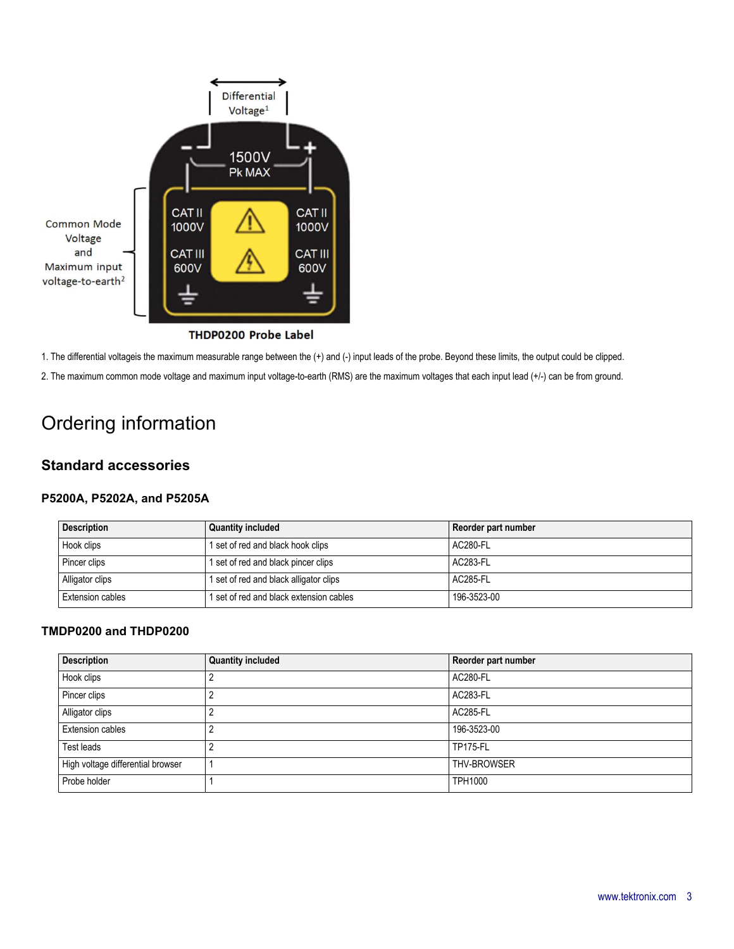

THDP0200 Probe Label

1. The differential voltageis the maximum measurable range between the (+) and (-) input leads of the probe. Beyond these limits, the output could be clipped.

2. The maximum common mode voltage and maximum input voltage-to-earth (RMS) are the maximum voltages that each input lead (+/-) can be from ground.

# Ordering information

# **Standard accessories**

#### **P5200A, P5202A, and P5205A**

| <b>Description</b> | <b>Quantity included</b>               | Reorder part number |
|--------------------|----------------------------------------|---------------------|
| Hook clips         | 1 set of red and black hook clips      | AC280-FL            |
| Pincer clips       | 1 set of red and black pincer clips    | AC283-FL            |
| Alligator clips    | 1 set of red and black alligator clips | AC285-FL            |
| Extension cables   | set of red and black extension cables  | 196-3523-00         |

#### **TMDP0200 and THDP0200**

| <b>Description</b>                | <b>Quantity included</b> | Reorder part number |
|-----------------------------------|--------------------------|---------------------|
| Hook clips                        |                          | AC280-FL            |
| Pincer clips                      |                          | AC283-FL            |
| Alligator clips                   |                          | <b>AC285-FL</b>     |
| <b>Extension cables</b>           |                          | 196-3523-00         |
| Test leads                        |                          | <b>TP175-FL</b>     |
| High voltage differential browser |                          | THV-BROWSER         |
| Probe holder                      |                          | <b>TPH1000</b>      |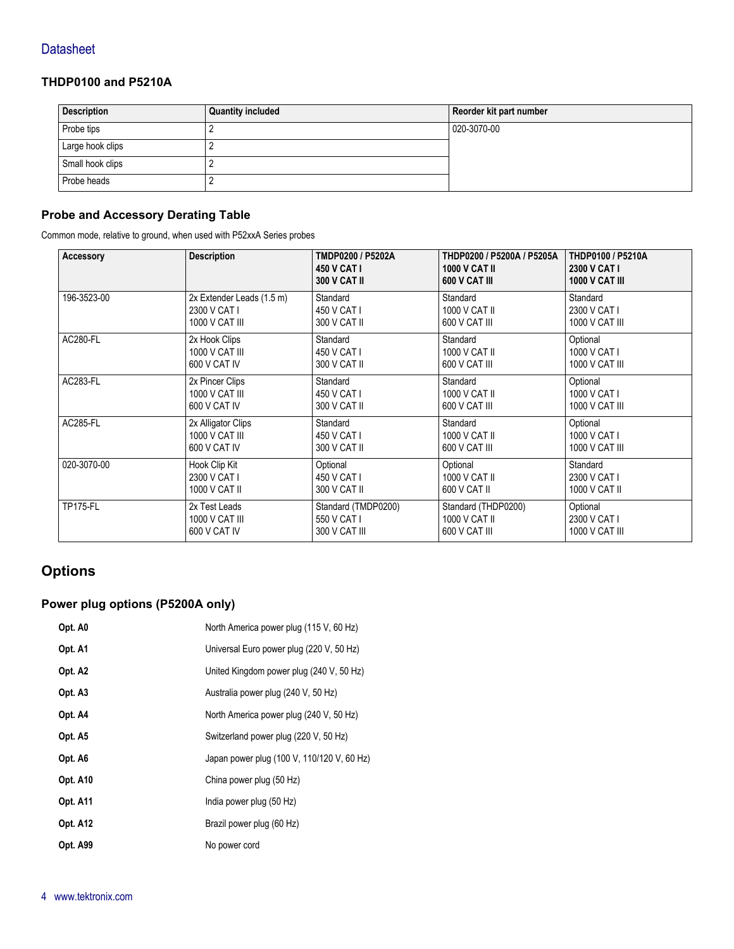## **THDP0100 and P5210A**

| <b>Description</b> | <b>Quantity included</b> | Reorder kit part number |
|--------------------|--------------------------|-------------------------|
| Probe tips         |                          | 020-3070-00             |
| Large hook clips   |                          |                         |
| Small hook clips   |                          |                         |
| Probe heads        |                          |                         |

## **Probe and Accessory Derating Table**

Common mode, relative to ground, when used with P52xxA Series probes

| Accessory       | <b>Description</b>        | TMDP0200 / P5202A<br><b>450 V CAT I</b><br><b>300 V CAT II</b> | THDP0200 / P5200A / P5205A<br><b>1000 V CAT II</b><br>600 V CAT III | THDP0100 / P5210A<br>2300 V CAT I<br><b>1000 V CAT III</b> |
|-----------------|---------------------------|----------------------------------------------------------------|---------------------------------------------------------------------|------------------------------------------------------------|
| 196-3523-00     | 2x Extender Leads (1.5 m) | Standard                                                       | Standard                                                            | Standard                                                   |
|                 | 2300 V CAT I              | 450 V CAT I                                                    | 1000 V CAT II                                                       | 2300 V CAT I                                               |
|                 | 1000 V CAT III            | 300 V CAT II                                                   | 600 V CAT III                                                       | 1000 V CAT III                                             |
| <b>AC280-FL</b> | 2x Hook Clips             | Standard                                                       | Standard                                                            | Optional                                                   |
|                 | 1000 V CAT III            | 450 V CAT I                                                    | 1000 V CAT II                                                       | 1000 V CAT I                                               |
|                 | 600 V CAT IV              | 300 V CAT II                                                   | 600 V CAT III                                                       | 1000 V CAT III                                             |
| AC283-FL        | 2x Pincer Clips           | Standard                                                       | Standard                                                            | Optional                                                   |
|                 | 1000 V CAT III            | 450 V CAT I                                                    | 1000 V CAT II                                                       | 1000 V CAT I                                               |
|                 | 600 V CAT IV              | 300 V CAT II                                                   | 600 V CAT III                                                       | 1000 V CAT III                                             |
| <b>AC285-FL</b> | 2x Alligator Clips        | Standard                                                       | Standard                                                            | Optional                                                   |
|                 | 1000 V CAT III            | 450 V CAT I                                                    | 1000 V CAT II                                                       | 1000 V CAT I                                               |
|                 | 600 V CAT IV              | 300 V CAT II                                                   | 600 V CAT III                                                       | 1000 V CAT III                                             |
| 020-3070-00     | Hook Clip Kit             | Optional                                                       | Optional                                                            | Standard                                                   |
|                 | 2300 V CAT I              | 450 V CAT I                                                    | 1000 V CAT II                                                       | 2300 V CAT I                                               |
|                 | 1000 V CAT II             | 300 V CAT II                                                   | 600 V CAT II                                                        | 1000 V CAT II                                              |
| <b>TP175-FL</b> | 2x Test Leads             | Standard (TMDP0200)                                            | Standard (THDP0200)                                                 | Optional                                                   |
|                 | 1000 V CAT III            | 550 V CAT I                                                    | 1000 V CAT II                                                       | 2300 V CAT I                                               |
|                 | 600 V CAT IV              | 300 V CAT III                                                  | 600 V CAT III                                                       | 1000 V CAT III                                             |

# **Options**

# **Power plug options (P5200A only)**

| Opt. A0         | North America power plug (115 V, 60 Hz)    |
|-----------------|--------------------------------------------|
| Opt. A1         | Universal Euro power plug (220 V, 50 Hz)   |
| Opt. A2         | United Kingdom power plug (240 V, 50 Hz)   |
| Opt. A3         | Australia power plug (240 V, 50 Hz)        |
| Opt. A4         | North America power plug (240 V, 50 Hz)    |
| Opt. A5         | Switzerland power plug (220 V, 50 Hz)      |
| Opt. A6         | Japan power plug (100 V, 110/120 V, 60 Hz) |
| Opt. A10        | China power plug (50 Hz)                   |
| <b>Opt. A11</b> | India power plug (50 Hz)                   |
| <b>Opt. A12</b> | Brazil power plug (60 Hz)                  |
| Opt. A99        | No power cord                              |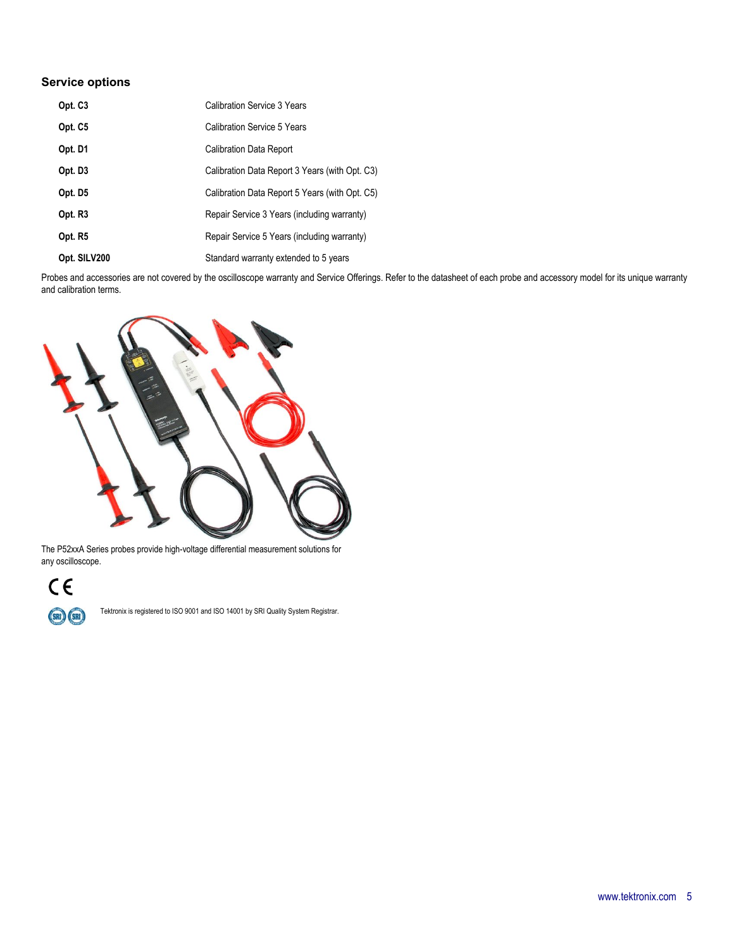## **Service options**

| Opt. C <sub>3</sub> | Calibration Service 3 Years                    |
|---------------------|------------------------------------------------|
| Opt. C5             | Calibration Service 5 Years                    |
| Opt. D1             | <b>Calibration Data Report</b>                 |
| Opt. D3             | Calibration Data Report 3 Years (with Opt. C3) |
| Opt. D <sub>5</sub> | Calibration Data Report 5 Years (with Opt. C5) |
| Opt. R <sub>3</sub> | Repair Service 3 Years (including warranty)    |
| Opt. R5             | Repair Service 5 Years (including warranty)    |
| Opt. SILV200        | Standard warranty extended to 5 years          |

Probes and accessories are not covered by the oscilloscope warranty and Service Offerings. Refer to the datasheet of each probe and accessory model for its unique warranty and calibration terms.



The P52xxA Series probes provide high-voltage differential measurement solutions for any oscilloscope.

# $C \in$

(SRI) (SRI)

Tektronix is registered to ISO 9001 and ISO 14001 by SRI Quality System Registrar.